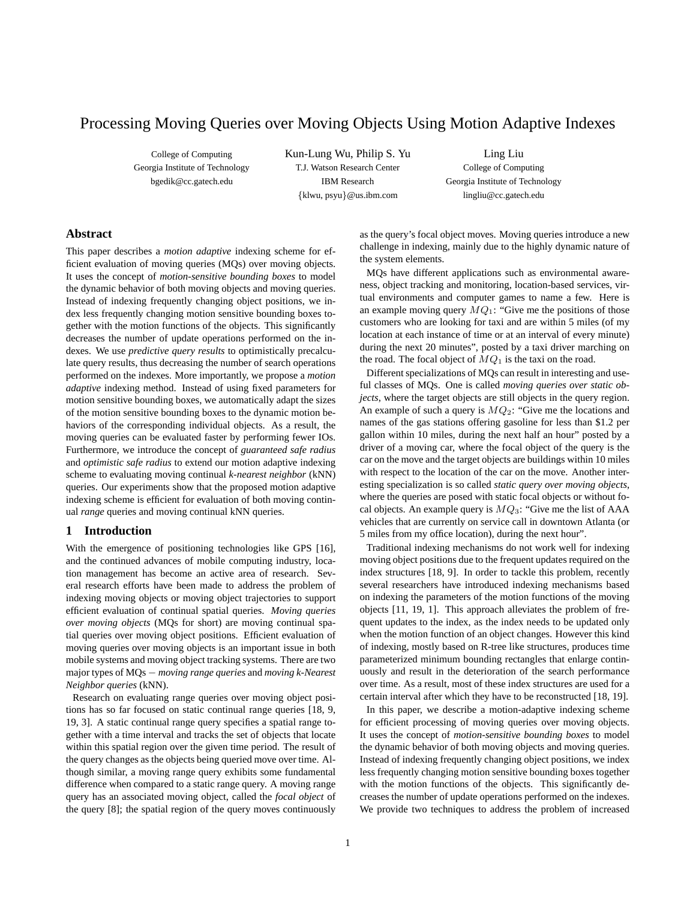# Processing Moving Queries over Moving Objects Using Motion Adaptive Indexes

College of Computing Georgia Institute of Technology bgedik@cc.gatech.edu

Kun-Lung Wu, Philip S. Yu T.J. Watson Research Center IBM Research {klwu, psyu}@us.ibm.com

Ling Liu College of Computing Georgia Institute of Technology lingliu@cc.gatech.edu

# **Abstract**

This paper describes a *motion adaptive* indexing scheme for efficient evaluation of moving queries (MQs) over moving objects. It uses the concept of *motion-sensitive bounding boxes* to model the dynamic behavior of both moving objects and moving queries. Instead of indexing frequently changing object positions, we index less frequently changing motion sensitive bounding boxes together with the motion functions of the objects. This significantly decreases the number of update operations performed on the indexes. We use *predictive query results* to optimistically precalculate query results, thus decreasing the number of search operations performed on the indexes. More importantly, we propose a *motion adaptive* indexing method. Instead of using fixed parameters for motion sensitive bounding boxes, we automatically adapt the sizes of the motion sensitive bounding boxes to the dynamic motion behaviors of the corresponding individual objects. As a result, the moving queries can be evaluated faster by performing fewer IOs. Furthermore, we introduce the concept of *guaranteed safe radius* and *optimistic safe radius* to extend our motion adaptive indexing scheme to evaluating moving continual *k-nearest neighbor* (kNN) queries. Our experiments show that the proposed motion adaptive indexing scheme is efficient for evaluation of both moving continual *range* queries and moving continual kNN queries.

### **1 Introduction**

With the emergence of positioning technologies like GPS [16], and the continued advances of mobile computing industry, location management has become an active area of research. Several research efforts have been made to address the problem of indexing moving objects or moving object trajectories to support efficient evaluation of continual spatial queries. *Moving queries over moving objects* (MQs for short) are moving continual spatial queries over moving object positions. Efficient evaluation of moving queries over moving objects is an important issue in both mobile systems and moving object tracking systems. There are two major types of MQs − *moving range queries* and *moving k-Nearest Neighbor queries* (kNN).

Research on evaluating range queries over moving object positions has so far focused on static continual range queries [18, 9, 19, 3]. A static continual range query specifies a spatial range together with a time interval and tracks the set of objects that locate within this spatial region over the given time period. The result of the query changes as the objects being queried move over time. Although similar, a moving range query exhibits some fundamental difference when compared to a static range query. A moving range query has an associated moving object, called the *focal object* of the query [8]; the spatial region of the query moves continuously as the query's focal object moves. Moving queries introduce a new challenge in indexing, mainly due to the highly dynamic nature of the system elements.

MQs have different applications such as environmental awareness, object tracking and monitoring, location-based services, virtual environments and computer games to name a few. Here is an example moving query  $MQ_1$ : "Give me the positions of those customers who are looking for taxi and are within 5 miles (of my location at each instance of time or at an interval of every minute) during the next 20 minutes", posted by a taxi driver marching on the road. The focal object of  $MQ<sub>1</sub>$  is the taxi on the road.

Different specializations of MQs can result in interesting and useful classes of MQs. One is called *moving queries over static objects*, where the target objects are still objects in the query region. An example of such a query is  $MQ_2$ : "Give me the locations and names of the gas stations offering gasoline for less than \$1.2 per gallon within 10 miles, during the next half an hour" posted by a driver of a moving car, where the focal object of the query is the car on the move and the target objects are buildings within 10 miles with respect to the location of the car on the move. Another interesting specialization is so called *static query over moving objects*, where the queries are posed with static focal objects or without focal objects. An example query is  $MQ_3$ : "Give me the list of AAA vehicles that are currently on service call in downtown Atlanta (or 5 miles from my office location), during the next hour".

Traditional indexing mechanisms do not work well for indexing moving object positions due to the frequent updates required on the index structures [18, 9]. In order to tackle this problem, recently several researchers have introduced indexing mechanisms based on indexing the parameters of the motion functions of the moving objects [11, 19, 1]. This approach alleviates the problem of frequent updates to the index, as the index needs to be updated only when the motion function of an object changes. However this kind of indexing, mostly based on R-tree like structures, produces time parameterized minimum bounding rectangles that enlarge continuously and result in the deterioration of the search performance over time. As a result, most of these index structures are used for a certain interval after which they have to be reconstructed [18, 19].

In this paper, we describe a motion-adaptive indexing scheme for efficient processing of moving queries over moving objects. It uses the concept of *motion-sensitive bounding boxes* to model the dynamic behavior of both moving objects and moving queries. Instead of indexing frequently changing object positions, we index less frequently changing motion sensitive bounding boxes together with the motion functions of the objects. This significantly decreases the number of update operations performed on the indexes. We provide two techniques to address the problem of increased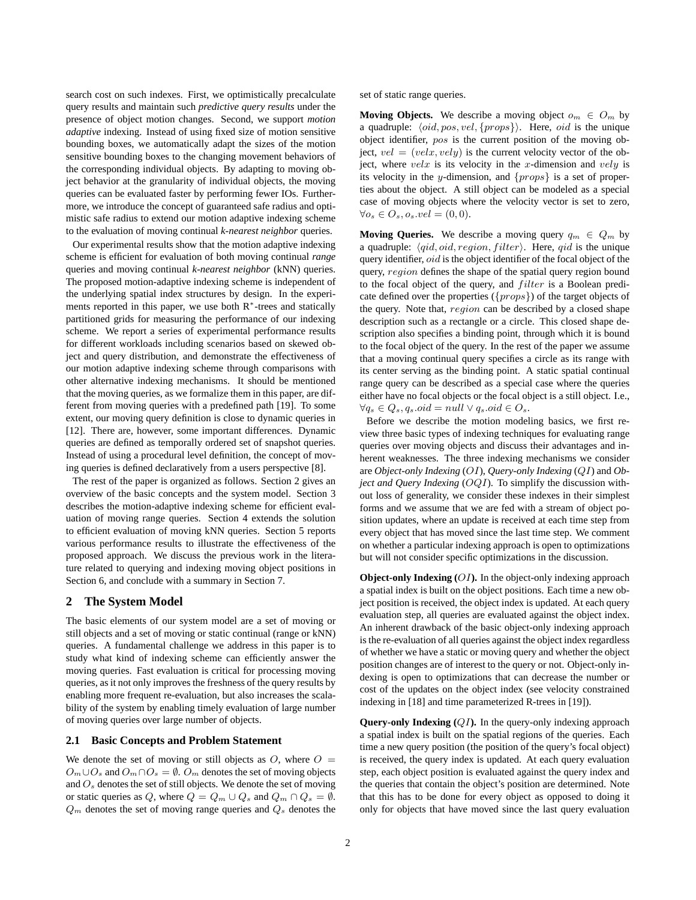search cost on such indexes. First, we optimistically precalculate query results and maintain such *predictive query results* under the presence of object motion changes. Second, we support *motion adaptive* indexing. Instead of using fixed size of motion sensitive bounding boxes, we automatically adapt the sizes of the motion sensitive bounding boxes to the changing movement behaviors of the corresponding individual objects. By adapting to moving object behavior at the granularity of individual objects, the moving queries can be evaluated faster by performing fewer IOs. Furthermore, we introduce the concept of guaranteed safe radius and optimistic safe radius to extend our motion adaptive indexing scheme to the evaluation of moving continual *k-nearest neighbor* queries.

Our experimental results show that the motion adaptive indexing scheme is efficient for evaluation of both moving continual *range* queries and moving continual *k-nearest neighbor* (kNN) queries. The proposed motion-adaptive indexing scheme is independent of the underlying spatial index structures by design. In the experiments reported in this paper, we use both  $R<sup>*</sup>$ -trees and statically partitioned grids for measuring the performance of our indexing scheme. We report a series of experimental performance results for different workloads including scenarios based on skewed object and query distribution, and demonstrate the effectiveness of our motion adaptive indexing scheme through comparisons with other alternative indexing mechanisms. It should be mentioned that the moving queries, as we formalize them in this paper, are different from moving queries with a predefined path [19]. To some extent, our moving query definition is close to dynamic queries in [12]. There are, however, some important differences. Dynamic queries are defined as temporally ordered set of snapshot queries. Instead of using a procedural level definition, the concept of moving queries is defined declaratively from a users perspective [8].

The rest of the paper is organized as follows. Section 2 gives an overview of the basic concepts and the system model. Section 3 describes the motion-adaptive indexing scheme for efficient evaluation of moving range queries. Section 4 extends the solution to efficient evaluation of moving kNN queries. Section 5 reports various performance results to illustrate the effectiveness of the proposed approach. We discuss the previous work in the literature related to querying and indexing moving object positions in Section 6, and conclude with a summary in Section 7.

### **2 The System Model**

The basic elements of our system model are a set of moving or still objects and a set of moving or static continual (range or kNN) queries. A fundamental challenge we address in this paper is to study what kind of indexing scheme can efficiently answer the moving queries. Fast evaluation is critical for processing moving queries, as it not only improves the freshness of the query results by enabling more frequent re-evaluation, but also increases the scalability of the system by enabling timely evaluation of large number of moving queries over large number of objects.

#### **2.1 Basic Concepts and Problem Statement**

We denote the set of moving or still objects as  $O$ , where  $O =$  $O_m \cup O_s$  and  $O_m \cap O_s = \emptyset$ .  $O_m$  denotes the set of moving objects and  $O_s$  denotes the set of still objects. We denote the set of moving or static queries as Q, where  $Q = Q_m \cup Q_s$  and  $Q_m \cap Q_s = \emptyset$ .  $Q_m$  denotes the set of moving range queries and  $Q_s$  denotes the set of static range queries.

**Moving Objects.** We describe a moving object  $o_m \in O_m$  by a quadruple:  $\langle oid, pos, vel, \{props\}\rangle$ . Here, *oid* is the unique object identifier, pos is the current position of the moving object,  $vel = (velx, vely)$  is the current velocity vector of the object, where  $velx$  is its velocity in the x-dimension and  $vely$  is its velocity in the y-dimension, and  $\{props\}$  is a set of properties about the object. A still object can be modeled as a special case of moving objects where the velocity vector is set to zero,  $\forall o_s \in O_s, o_s.vel = (0, 0).$ 

**Moving Queries.** We describe a moving query  $q_m \in Q_m$  by a quadruple:  $\langle qid, oid, region, filter \rangle$ . Here,  $qid$  is the unique query identifier, oid is the object identifier of the focal object of the query, region defines the shape of the spatial query region bound to the focal object of the query, and *filter* is a Boolean predicate defined over the properties ({props}) of the target objects of the query. Note that, region can be described by a closed shape description such as a rectangle or a circle. This closed shape description also specifies a binding point, through which it is bound to the focal object of the query. In the rest of the paper we assume that a moving continual query specifies a circle as its range with its center serving as the binding point. A static spatial continual range query can be described as a special case where the queries either have no focal objects or the focal object is a still object. I.e.,  $\forall q_s \in Q_s, q_s.oid = null \vee q_s.oid \in O_s.$ 

Before we describe the motion modeling basics, we first review three basic types of indexing techniques for evaluating range queries over moving objects and discuss their advantages and inherent weaknesses. The three indexing mechanisms we consider are *Object-only Indexing* (OI), *Query-only Indexing* (QI) and *Object and Query Indexing* (*OQI*). To simplify the discussion without loss of generality, we consider these indexes in their simplest forms and we assume that we are fed with a stream of object position updates, where an update is received at each time step from every object that has moved since the last time step. We comment on whether a particular indexing approach is open to optimizations but will not consider specific optimizations in the discussion.

**Object-only Indexing (OI).** In the object-only indexing approach a spatial index is built on the object positions. Each time a new object position is received, the object index is updated. At each query evaluation step, all queries are evaluated against the object index. An inherent drawback of the basic object-only indexing approach is the re-evaluation of all queries against the object index regardless of whether we have a static or moving query and whether the object position changes are of interest to the query or not. Object-only indexing is open to optimizations that can decrease the number or cost of the updates on the object index (see velocity constrained indexing in [18] and time parameterized R-trees in [19]).

**Query-only Indexing (QI).** In the query-only indexing approach a spatial index is built on the spatial regions of the queries. Each time a new query position (the position of the query's focal object) is received, the query index is updated. At each query evaluation step, each object position is evaluated against the query index and the queries that contain the object's position are determined. Note that this has to be done for every object as opposed to doing it only for objects that have moved since the last query evaluation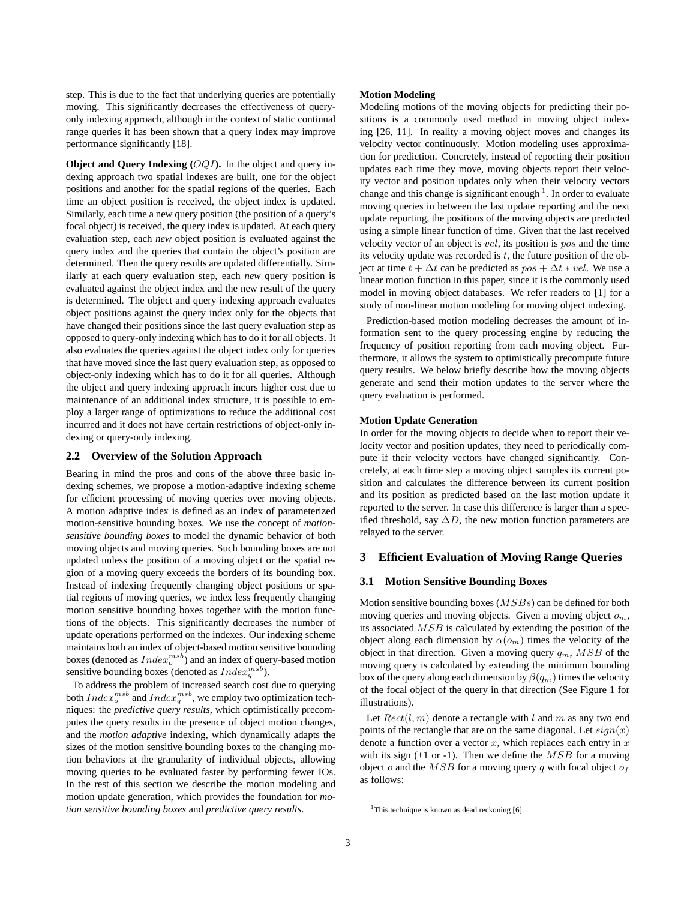step. This is due to the fact that underlying queries are potentially moving. This significantly decreases the effectiveness of queryonly indexing approach, although in the context of static continual range queries it has been shown that a query index may improve performance significantly [18].

**Object and Query Indexing**  $(OQI)$ **. In the object and query in**dexing approach two spatial indexes are built, one for the object positions and another for the spatial regions of the queries. Each time an object position is received, the object index is updated. Similarly, each time a new query position (the position of a query's focal object) is received, the query index is updated. At each query evaluation step, each *new* object position is evaluated against the query index and the queries that contain the object's position are determined. Then the query results are updated differentially. Similarly at each query evaluation step, each *new* query position is evaluated against the object index and the new result of the query is determined. The object and query indexing approach evaluates object positions against the query index only for the objects that have changed their positions since the last query evaluation step as opposed to query-only indexing which has to do it for all objects. It also evaluates the queries against the object index only for queries that have moved since the last query evaluation step, as opposed to object-only indexing which has to do it for all queries. Although the object and query indexing approach incurs higher cost due to maintenance of an additional index structure, it is possible to employ a larger range of optimizations to reduce the additional cost incurred and it does not have certain restrictions of object-only indexing or query-only indexing.

### **2.2 Overview of the Solution Approach**

Bearing in mind the pros and cons of the above three basic indexing schemes, we propose a motion-adaptive indexing scheme for efficient processing of moving queries over moving objects. A motion adaptive index is defined as an index of parameterized motion-sensitive bounding boxes. We use the concept of *motionsensitive bounding boxes* to model the dynamic behavior of both moving objects and moving queries. Such bounding boxes are not updated unless the position of a moving object or the spatial region of a moving query exceeds the borders of its bounding box. Instead of indexing frequently changing object positions or spatial regions of moving queries, we index less frequently changing motion sensitive bounding boxes together with the motion functions of the objects. This significantly decreases the number of update operations performed on the indexes. Our indexing scheme maintains both an index of object-based motion sensitive bounding boxes (denoted as  $Index_o^{msb}$ ) and an index of query-based motion sensitive bounding boxes (denoted as  $Index_q^{msb}$ ).

To address the problem of increased search cost due to querying both  $Index_o^{msb}$  and  $Index_q^{msb}$ , we employ two optimization techniques: the *predictive query results*, which optimistically precomputes the query results in the presence of object motion changes, and the *motion adaptive* indexing, which dynamically adapts the sizes of the motion sensitive bounding boxes to the changing motion behaviors at the granularity of individual objects, allowing moving queries to be evaluated faster by performing fewer IOs. In the rest of this section we describe the motion modeling and motion update generation, which provides the foundation for *motion sensitive bounding boxes* and *predictive query results*.

#### **Motion Modeling**

Modeling motions of the moving objects for predicting their positions is a commonly used method in moving object indexing [26, 11]. In reality a moving object moves and changes its velocity vector continuously. Motion modeling uses approximation for prediction. Concretely, instead of reporting their position updates each time they move, moving objects report their velocity vector and position updates only when their velocity vectors change and this change is significant enough  $<sup>1</sup>$ . In order to evaluate</sup> moving queries in between the last update reporting and the next update reporting, the positions of the moving objects are predicted using a simple linear function of time. Given that the last received velocity vector of an object is vel, its position is pos and the time its velocity update was recorded is  $t$ , the future position of the object at time  $t + \Delta t$  can be predicted as  $pos + \Delta t * vel$ . We use a linear motion function in this paper, since it is the commonly used model in moving object databases. We refer readers to [1] for a study of non-linear motion modeling for moving object indexing.

Prediction-based motion modeling decreases the amount of information sent to the query processing engine by reducing the frequency of position reporting from each moving object. Furthermore, it allows the system to optimistically precompute future query results. We below briefly describe how the moving objects generate and send their motion updates to the server where the query evaluation is performed.

#### **Motion Update Generation**

In order for the moving objects to decide when to report their velocity vector and position updates, they need to periodically compute if their velocity vectors have changed significantly. Concretely, at each time step a moving object samples its current position and calculates the difference between its current position and its position as predicted based on the last motion update it reported to the server. In case this difference is larger than a specified threshold, say  $\Delta D$ , the new motion function parameters are relayed to the server.

#### **3 Efficient Evaluation of Moving Range Queries**

#### **3.1 Motion Sensitive Bounding Boxes**

Motion sensitive bounding boxes (MSBs) can be defined for both moving queries and moving objects. Given a moving object  $o_m$ , its associated MSB is calculated by extending the position of the object along each dimension by  $\alpha(o_m)$  times the velocity of the object in that direction. Given a moving query  $q_m$ ,  $MSB$  of the moving query is calculated by extending the minimum bounding box of the query along each dimension by  $\beta(q_m)$  times the velocity of the focal object of the query in that direction (See Figure 1 for illustrations).

Let  $Rect(l, m)$  denote a rectangle with l and m as any two end points of the rectangle that are on the same diagonal. Let  $sign(x)$ denote a function over a vector  $x$ , which replaces each entry in  $x$ with its sign  $(+1 \text{ or } -1)$ . Then we define the  $MSB$  for a moving object o and the  $MSB$  for a moving query q with focal object  $o<sub>f</sub>$ as follows:

<sup>&</sup>lt;sup>1</sup>This technique is known as dead reckoning [6].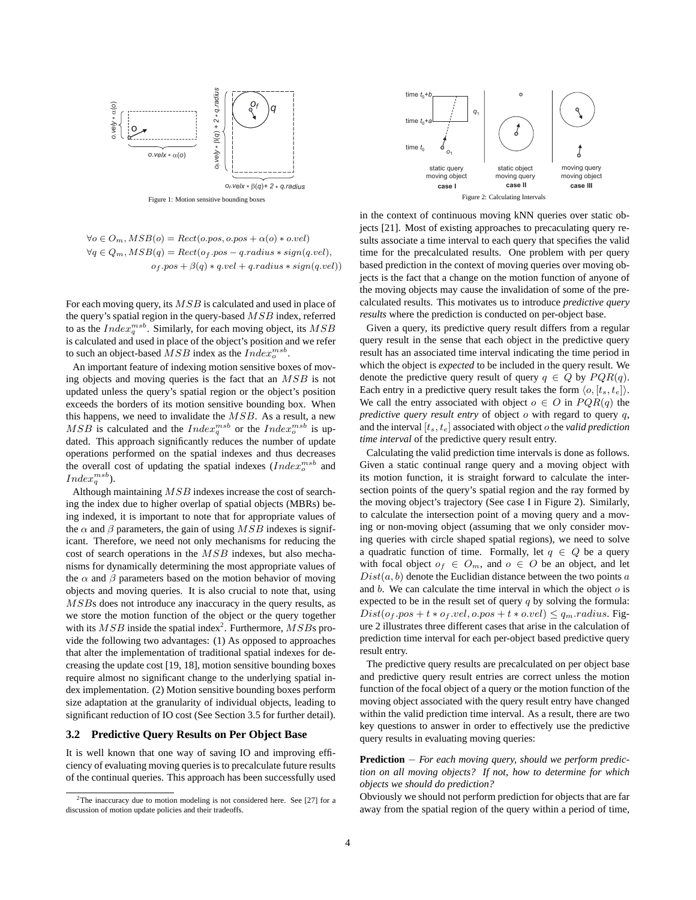

Figure 1: Motion sensitive bounding boxes

$$
\forall o \in O_m, MSB(o) = Rect(o.pos, o.pos + \alpha(o) * o.vel)
$$
  
\n
$$
\forall q \in Q_m, MSB(q) = Rect(o_f.pos - q. radius * sign(q. vel),
$$
  
\n
$$
o_f.pos + \beta(q) * q. vel + q. radius * sign(q. vel))
$$

For each moving query, its MSB is calculated and used in place of the query's spatial region in the query-based MSB index, referred to as the  $Index_q^{msb}$ . Similarly, for each moving object, its  $MSB$ is calculated and used in place of the object's position and we refer to such an object-based  $MSB$  index as the  $Index_o^{msb}$ .

An important feature of indexing motion sensitive boxes of moving objects and moving queries is the fact that an MSB is not updated unless the query's spatial region or the object's position exceeds the borders of its motion sensitive bounding box. When this happens, we need to invalidate the  $MSB$ . As a result, a new  $MSB$  is calculated and the  $Index_q^{msb}$  or the  $Index_q^{msb}$  is updated. This approach significantly reduces the number of update operations performed on the spatial indexes and thus decreases the overall cost of updating the spatial indexes  $(Index_{o}^{msb}$  and  $Index_q^{msb}$ ).

Although maintaining MSB indexes increase the cost of searching the index due to higher overlap of spatial objects (MBRs) being indexed, it is important to note that for appropriate values of the  $\alpha$  and  $\beta$  parameters, the gain of using  $MSB$  indexes is significant. Therefore, we need not only mechanisms for reducing the cost of search operations in the MSB indexes, but also mechanisms for dynamically determining the most appropriate values of the  $\alpha$  and  $\beta$  parameters based on the motion behavior of moving objects and moving queries. It is also crucial to note that, using MSBs does not introduce any inaccuracy in the query results, as we store the motion function of the object or the query together with its  $MSB$  inside the spatial index<sup>2</sup>. Furthermore,  $MSB$ s provide the following two advantages: (1) As opposed to approaches that alter the implementation of traditional spatial indexes for decreasing the update cost [19, 18], motion sensitive bounding boxes require almost no significant change to the underlying spatial index implementation. (2) Motion sensitive bounding boxes perform size adaptation at the granularity of individual objects, leading to significant reduction of IO cost (See Section 3.5 for further detail).

#### **3.2 Predictive Query Results on Per Object Base**

It is well known that one way of saving IO and improving efficiency of evaluating moving queries is to precalculate future results of the continual queries. This approach has been successfully used



in the context of continuous moving kNN queries over static objects [21]. Most of existing approaches to precaculating query results associate a time interval to each query that specifies the valid time for the precalculated results. One problem with per query based prediction in the context of moving queries over moving objects is the fact that a change on the motion function of anyone of the moving objects may cause the invalidation of some of the precalculated results. This motivates us to introduce *predictive query results* where the prediction is conducted on per-object base.

Given a query, its predictive query result differs from a regular query result in the sense that each object in the predictive query result has an associated time interval indicating the time period in which the object is *expected* to be included in the query result. We denote the predictive query result of query  $q \in Q$  by  $PQR(q)$ . Each entry in a predictive query result takes the form  $\langle o, [t_s, t_e] \rangle$ . We call the entry associated with object  $o \in O$  in  $PQR(q)$  the *predictive query result entry* of object *o* with regard to query *q*, and the interval [ts, te] associated with object o the *valid prediction time interval* of the predictive query result entry.

Calculating the valid prediction time intervals is done as follows. Given a static continual range query and a moving object with its motion function, it is straight forward to calculate the intersection points of the query's spatial region and the ray formed by the moving object's trajectory (See case I in Figure 2). Similarly, to calculate the intersection point of a moving query and a moving or non-moving object (assuming that we only consider moving queries with circle shaped spatial regions), we need to solve a quadratic function of time. Formally, let  $q \in Q$  be a query with focal object  $o_f \in O_m$ , and  $o \in O$  be an object, and let  $Dist(a, b)$  denote the Euclidian distance between the two points a and  $b$ . We can calculate the time interval in which the object  $o$  is expected to be in the result set of query  $q$  by solving the formula:  $Dist(o_f. pos + t * o_f. vel, o. pos + t * o. vel) \leq q_m. radius. Fig.$ ure 2 illustrates three different cases that arise in the calculation of prediction time interval for each per-object based predictive query result entry.

The predictive query results are precalculated on per object base and predictive query result entries are correct unless the motion function of the focal object of a query or the motion function of the moving object associated with the query result entry have changed within the valid prediction time interval. As a result, there are two key questions to answer in order to effectively use the predictive query results in evaluating moving queries:

### **Prediction** − *For each moving query, should we perform prediction on all moving objects? If not, how to determine for which objects we should do prediction?*

Obviously we should not perform prediction for objects that are far away from the spatial region of the query within a period of time,

<sup>&</sup>lt;sup>2</sup>The inaccuracy due to motion modeling is not considered here. See [27] for a discussion of motion update policies and their tradeoffs.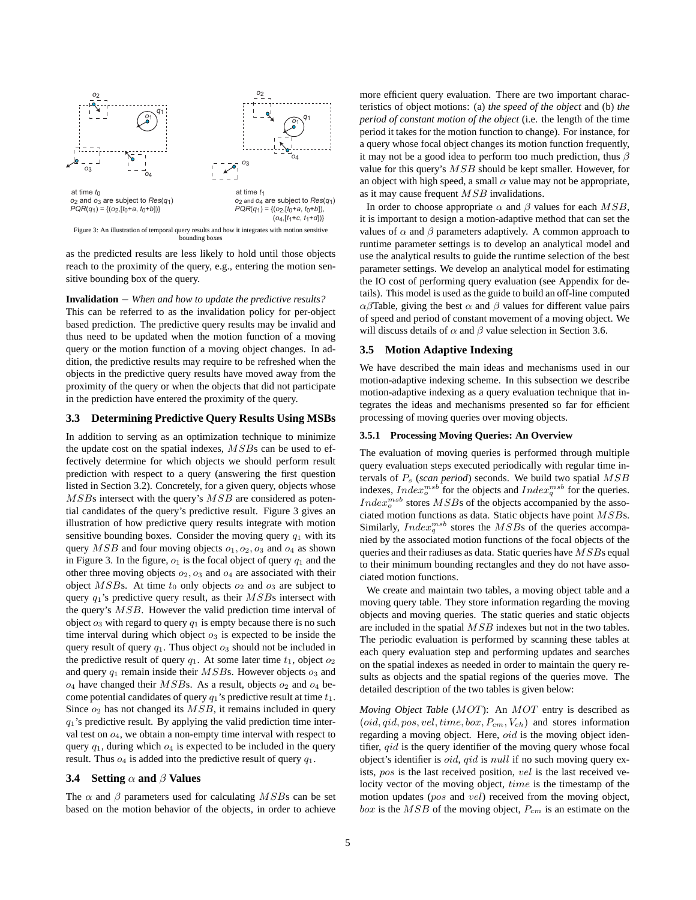

as the predicted results are less likely to hold until those objects reach to the proximity of the query, e.g., entering the motion sensitive bounding box of the query.

**Invalidation** − *When and how to update the predictive results?* This can be referred to as the invalidation policy for per-object based prediction. The predictive query results may be invalid and thus need to be updated when the motion function of a moving query or the motion function of a moving object changes. In addition, the predictive results may require to be refreshed when the objects in the predictive query results have moved away from the proximity of the query or when the objects that did not participate in the prediction have entered the proximity of the query.

### **3.3 Determining Predictive Query Results Using MSBs**

In addition to serving as an optimization technique to minimize the update cost on the spatial indexes,  $MSBs$  can be used to effectively determine for which objects we should perform result prediction with respect to a query (answering the first question listed in Section 3.2). Concretely, for a given query, objects whose MSBs intersect with the query's MSB are considered as potential candidates of the query's predictive result. Figure 3 gives an illustration of how predictive query results integrate with motion sensitive bounding boxes. Consider the moving query  $q_1$  with its query  $MSB$  and four moving objects  $o_1, o_2, o_3$  and  $o_4$  as shown in Figure 3. In the figure,  $o_1$  is the focal object of query  $q_1$  and the other three moving objects  $o_2$ ,  $o_3$  and  $o_4$  are associated with their object  $MSBs$ . At time  $t_0$  only objects  $o_2$  and  $o_3$  are subject to query  $q_1$ 's predictive query result, as their  $MSB$ s intersect with the query's MSB. However the valid prediction time interval of object  $o_3$  with regard to query  $q_1$  is empty because there is no such time interval during which object  $o_3$  is expected to be inside the query result of query  $q_1$ . Thus object  $o_3$  should not be included in the predictive result of query  $q_1$ . At some later time  $t_1$ , object  $o_2$ and query  $q_1$  remain inside their  $MSB$ s. However objects  $o_3$  and  $o_4$  have changed their  $MSBs$ . As a result, objects  $o_2$  and  $o_4$  become potential candidates of query  $q_1$ 's predictive result at time  $t_1$ . Since  $o_2$  has not changed its  $MSB$ , it remains included in query  $q_1$ 's predictive result. By applying the valid prediction time interval test on  $o_4$ , we obtain a non-empty time interval with respect to query  $q_1$ , during which  $q_4$  is expected to be included in the query result. Thus  $o_4$  is added into the predictive result of query  $q_1$ .

#### **3.4 Setting** α **and** β **Values**

The  $\alpha$  and  $\beta$  parameters used for calculating MSBs can be set based on the motion behavior of the objects, in order to achieve more efficient query evaluation. There are two important characteristics of object motions: (a) *the speed of the object* and (b) *the period of constant motion of the object* (i.e. the length of the time period it takes for the motion function to change). For instance, for a query whose focal object changes its motion function frequently, it may not be a good idea to perform too much prediction, thus  $\beta$ value for this query's MSB should be kept smaller. However, for an object with high speed, a small  $\alpha$  value may not be appropriate, as it may cause frequent  $MSB$  invalidations.

In order to choose appropriate  $\alpha$  and  $\beta$  values for each MSB, it is important to design a motion-adaptive method that can set the values of  $\alpha$  and  $\beta$  parameters adaptively. A common approach to runtime parameter settings is to develop an analytical model and use the analytical results to guide the runtime selection of the best parameter settings. We develop an analytical model for estimating the IO cost of performing query evaluation (see Appendix for details). This model is used as the guide to build an off-line computed  $\alpha\beta$ Table, giving the best  $\alpha$  and  $\beta$  values for different value pairs of speed and period of constant movement of a moving object. We will discuss details of  $\alpha$  and  $\beta$  value selection in Section 3.6.

### **3.5 Motion Adaptive Indexing**

We have described the main ideas and mechanisms used in our motion-adaptive indexing scheme. In this subsection we describe motion-adaptive indexing as a query evaluation technique that integrates the ideas and mechanisms presented so far for efficient processing of moving queries over moving objects.

#### **3.5.1 Processing Moving Queries: An Overview**

The evaluation of moving queries is performed through multiple query evaluation steps executed periodically with regular time intervals of P<sup>s</sup> (*scan period*) seconds. We build two spatial MSB indexes,  $Index_0^{msb}$  for the objects and  $Index_q^{msb}$  for the queries.  $Index_o^{msb}$  stores  $MSBs$  of the objects accompanied by the associated motion functions as data. Static objects have point MSBs. Similarly, *Index*<sup>msb</sup> stores the MSBs of the queries accompanied by the associated motion functions of the focal objects of the queries and their radiuses as data. Static queries have  $MSBs$  equal to their minimum bounding rectangles and they do not have associated motion functions.

We create and maintain two tables, a moving object table and a moving query table. They store information regarding the moving objects and moving queries. The static queries and static objects are included in the spatial MSB indexes but not in the two tables. The periodic evaluation is performed by scanning these tables at each query evaluation step and performing updates and searches on the spatial indexes as needed in order to maintain the query results as objects and the spatial regions of the queries move. The detailed description of the two tables is given below:

*Moving Object Table* (MOT): An MOT entry is described as  $(oid, qid, pos, vel, time, box, P<sub>cm</sub>, V<sub>ch</sub>)$  and stores information regarding a moving object. Here, oid is the moving object identifier,  $qid$  is the query identifier of the moving query whose focal object's identifier is oid, qid is null if no such moving query exists, pos is the last received position, vel is the last received velocity vector of the moving object, time is the timestamp of the motion updates (pos and vel) received from the moving object, box is the  $MSB$  of the moving object,  $P_{cm}$  is an estimate on the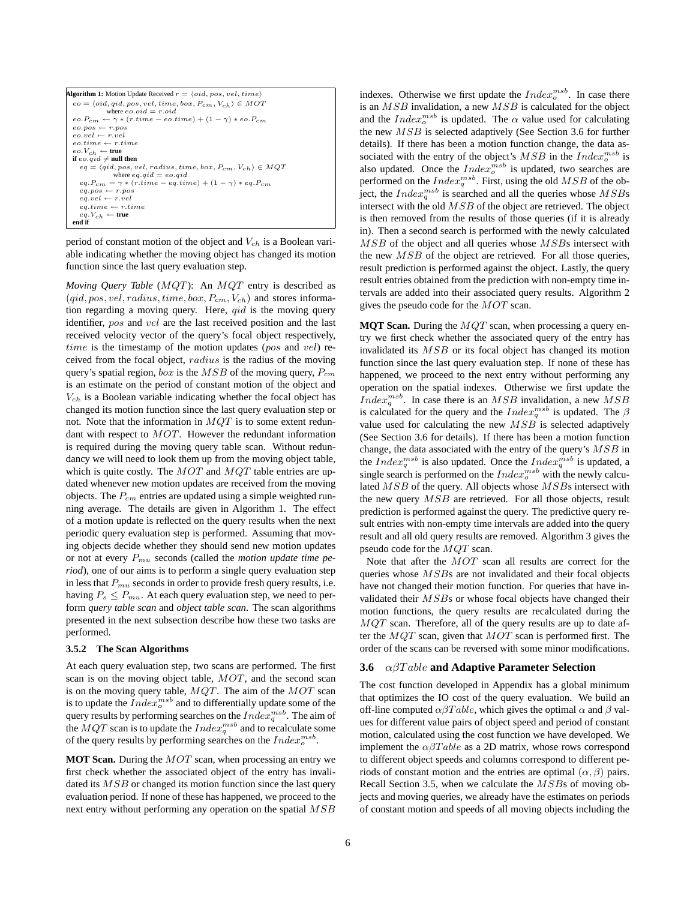```
Algorithm 1: Motion Update Received r = \langle oid, pos, vel, time \rangleeo = \langle oid, qid, pos, vel, time, box, P_{cm}, V_{ch} \rangle \in MOTwhere eo.oid = r.oid
  eo.P_{cm} \leftarrow \gamma * (r.time - eo.time) + (1 - \gamma) * eo.P_{cm}\begin{array}{l} \textit{eo}.\textit{pos} \leftarrow \textit{r}. \textit{pos} \\ \textit{eo}.\textit{vel} \leftarrow \textit{r}.\textit{vel} \end{array}eo.time \leftarrow r.timee^o.V_{ch} ← \textbf{true}<br>if e^o.qid ≠ \textbf{null} then
       eq = \langle qid, pos, vel, radius, time, box, P<sub>cm</sub>, V<sub>ch</sub> \rangle \in MQTwhere eq.qid = eo.qid<br>
eq.P_{cm} = \gamma * (r.time - eq.time) + (1 - \gamma) * eq.P_{cm}eq.pos \leftarrow r.poseq.vel \leftarrow r.veleq.time \leftarrow r.timeeq.V_{ch} \leftarrow true
  end if
```
period of constant motion of the object and  $V_{ch}$  is a Boolean variable indicating whether the moving object has changed its motion function since the last query evaluation step.

*Moving Query Table* (MQT): An MQT entry is described as  $(qid, pos, vel, radius, time, box, P<sub>cm</sub>, V<sub>ch</sub>)$  and stores information regarding a moving query. Here,  $qid$  is the moving query identifier, pos and vel are the last received position and the last received velocity vector of the query's focal object respectively, time is the timestamp of the motion updates (pos and vel) received from the focal object, radius is the radius of the moving query's spatial region,  $box$  is the  $MSB$  of the moving query,  $P_{cm}$ is an estimate on the period of constant motion of the object and  $V_{ch}$  is a Boolean variable indicating whether the focal object has changed its motion function since the last query evaluation step or not. Note that the information in  $MQT$  is to some extent redundant with respect to MOT. However the redundant information is required during the moving query table scan. Without redundancy we will need to look them up from the moving object table, which is quite costly. The  $MOT$  and  $MQT$  table entries are updated whenever new motion updates are received from the moving objects. The  $P_{cm}$  entries are updated using a simple weighted running average. The details are given in Algorithm 1. The effect of a motion update is reflected on the query results when the next periodic query evaluation step is performed. Assuming that moving objects decide whether they should send new motion updates or not at every  $P_{mu}$  seconds (called the *motion update time period*), one of our aims is to perform a single query evaluation step in less that  $P_{mu}$  seconds in order to provide fresh query results, i.e. having  $P_s \leq P_{mu}$ . At each query evaluation step, we need to perform *query table scan* and *object table scan*. The scan algorithms presented in the next subsection describe how these two tasks are performed.

#### **3.5.2 The Scan Algorithms**

At each query evaluation step, two scans are performed. The first scan is on the moving object table, MOT, and the second scan is on the moving query table,  $MQT$ . The aim of the  $MOT$  scan is to update the  $Index^{msb}_{o}$  and to differentially update some of the query results by performing searches on the  $Index^{msb}_{q}.$  The aim of the  $MQT$  scan is to update the  $Index_q^{msb}$  and to recalculate some of the query results by performing searches on the  $Index_o^{msb}$ .

**MOT Scan.** During the MOT scan, when processing an entry we first check whether the associated object of the entry has invalidated its MSB or changed its motion function since the last query evaluation period. If none of these has happened, we proceed to the next entry without performing any operation on the spatial  $MSB$ 

indexes. Otherwise we first update the  $Index_o^{msb}$ . In case there is an  $MSB$  invalidation, a new  $MSB$  is calculated for the object and the  $Index_o^{msb}$  is updated. The  $\alpha$  value used for calculating the new MSB is selected adaptively (See Section 3.6 for further details). If there has been a motion function change, the data associated with the entry of the object's  $MSB$  in the  $Index<sub>o</sub><sup>msb</sup>$  is also updated. Once the  $Index<sub>o</sub><sup>msb</sup>$  is updated, two searches are performed on the  $Index_q^{msb}$ . First, using the old  $MSB$  of the object, the  $Index_q^{msb}$  is searched and all the queries whose  $MSBs$ intersect with the old MSB of the object are retrieved. The object is then removed from the results of those queries (if it is already in). Then a second search is performed with the newly calculated MSB of the object and all queries whose MSBs intersect with the new  $MSB$  of the object are retrieved. For all those queries, result prediction is performed against the object. Lastly, the query result entries obtained from the prediction with non-empty time intervals are added into their associated query results. Algorithm 2 gives the pseudo code for the MOT scan.

**MQT Scan.** During the  $MQT$  scan, when processing a query entry we first check whether the associated query of the entry has invalidated its MSB or its focal object has changed its motion function since the last query evaluation step. If none of these has happened, we proceed to the next entry without performing any operation on the spatial indexes. Otherwise we first update the *Index*<sup>msb</sup>. In case there is an MSB invalidation, a new MSB is calculated for the query and the  $Index_q^{msb}$  is updated. The  $\beta$ value used for calculating the new MSB is selected adaptively (See Section 3.6 for details). If there has been a motion function change, the data associated with the entry of the query's  $MSB$  in the  $Index_q^{msb}$  is also updated. Once the  $Index_q^{msb}$  is updated, a single search is performed on the  $Index_o^{msb}$  with the newly calculated MSB of the query. All objects whose MSBs intersect with the new query  $MSB$  are retrieved. For all those objects, result prediction is performed against the query. The predictive query result entries with non-empty time intervals are added into the query result and all old query results are removed. Algorithm 3 gives the pseudo code for the MQT scan.

Note that after the MOT scan all results are correct for the queries whose MSBs are not invalidated and their focal objects have not changed their motion function. For queries that have invalidated their MSBs or whose focal objects have changed their motion functions, the query results are recalculated during the  $MQT$  scan. Therefore, all of the query results are up to date after the MQT scan, given that MOT scan is performed first. The order of the scans can be reversed with some minor modifications.

### **3.6** αβT able **and Adaptive Parameter Selection**

The cost function developed in Appendix has a global minimum that optimizes the IO cost of the query evaluation. We build an off-line computed  $\alpha\beta Table$ , which gives the optimal  $\alpha$  and  $\beta$  values for different value pairs of object speed and period of constant motion, calculated using the cost function we have developed. We implement the  $\alpha\beta Table$  as a 2D matrix, whose rows correspond to different object speeds and columns correspond to different periods of constant motion and the entries are optimal  $(\alpha, \beta)$  pairs. Recall Section 3.5, when we calculate the MSBs of moving objects and moving queries, we already have the estimates on periods of constant motion and speeds of all moving objects including the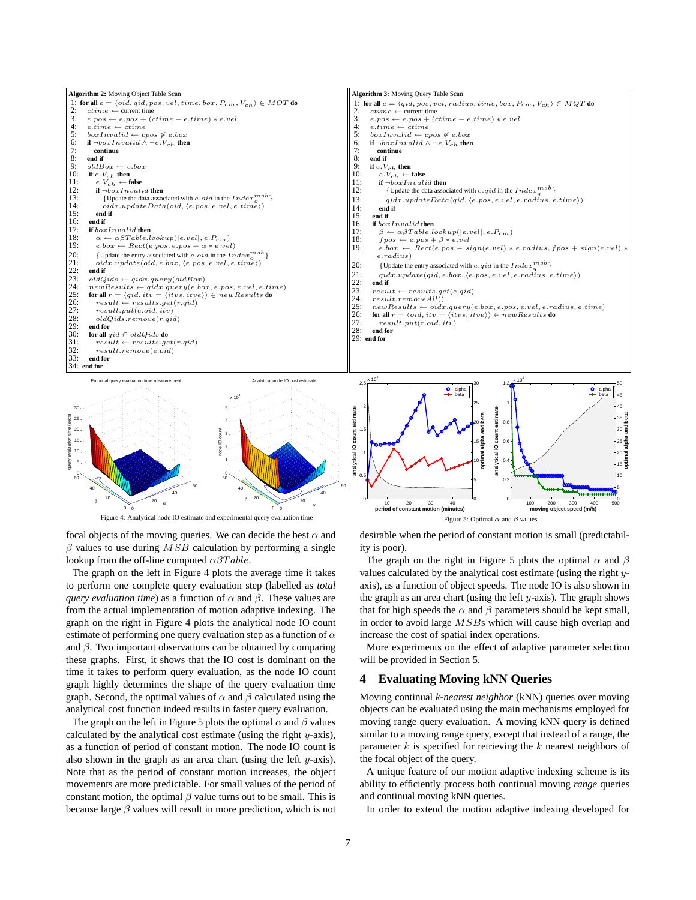

Figure 4: Analytical node IO estimate and experimental query evaluation time

focal objects of the moving queries. We can decide the best  $\alpha$  and  $\beta$  values to use during  $MSB$  calculation by performing a single lookup from the off-line computed  $\alpha\beta Table$ .

The graph on the left in Figure 4 plots the average time it takes to perform one complete query evaluation step (labelled as *total query evaluation time*) as a function of  $\alpha$  and  $\beta$ . These values are from the actual implementation of motion adaptive indexing. The graph on the right in Figure 4 plots the analytical node IO count estimate of performing one query evaluation step as a function of  $\alpha$ and  $\beta$ . Two important observations can be obtained by comparing these graphs. First, it shows that the IO cost is dominant on the time it takes to perform query evaluation, as the node IO count graph highly determines the shape of the query evaluation time graph. Second, the optimal values of  $\alpha$  and  $\beta$  calculated using the analytical cost function indeed results in faster query evaluation.

The graph on the left in Figure 5 plots the optimal  $\alpha$  and  $\beta$  values calculated by the analytical cost estimate (using the right  $y$ -axis), as a function of period of constant motion. The node IO count is also shown in the graph as an area chart (using the left  $y$ -axis). Note that as the period of constant motion increases, the object movements are more predictable. For small values of the period of constant motion, the optimal  $\beta$  value turns out to be small. This is because large  $\beta$  values will result in more prediction, which is not desirable when the period of constant motion is small (predictability is poor).

Figure 5: Optimal  $\alpha$  and  $\beta$  values

The graph on the right in Figure 5 plots the optimal  $\alpha$  and  $\beta$ values calculated by the analytical cost estimate (using the right yaxis), as a function of object speeds. The node IO is also shown in the graph as an area chart (using the left  $y$ -axis). The graph shows that for high speeds the  $\alpha$  and  $\beta$  parameters should be kept small, in order to avoid large MSBs which will cause high overlap and increase the cost of spatial index operations.

More experiments on the effect of adaptive parameter selection will be provided in Section 5.

### **4 Evaluating Moving kNN Queries**

Moving continual *k-nearest neighbor* (kNN) queries over moving objects can be evaluated using the main mechanisms employed for moving range query evaluation. A moving kNN query is defined similar to a moving range query, except that instead of a range, the parameter  $k$  is specified for retrieving the  $k$  nearest neighbors of the focal object of the query.

A unique feature of our motion adaptive indexing scheme is its ability to efficiently process both continual moving *range* queries and continual moving kNN queries.

In order to extend the motion adaptive indexing developed for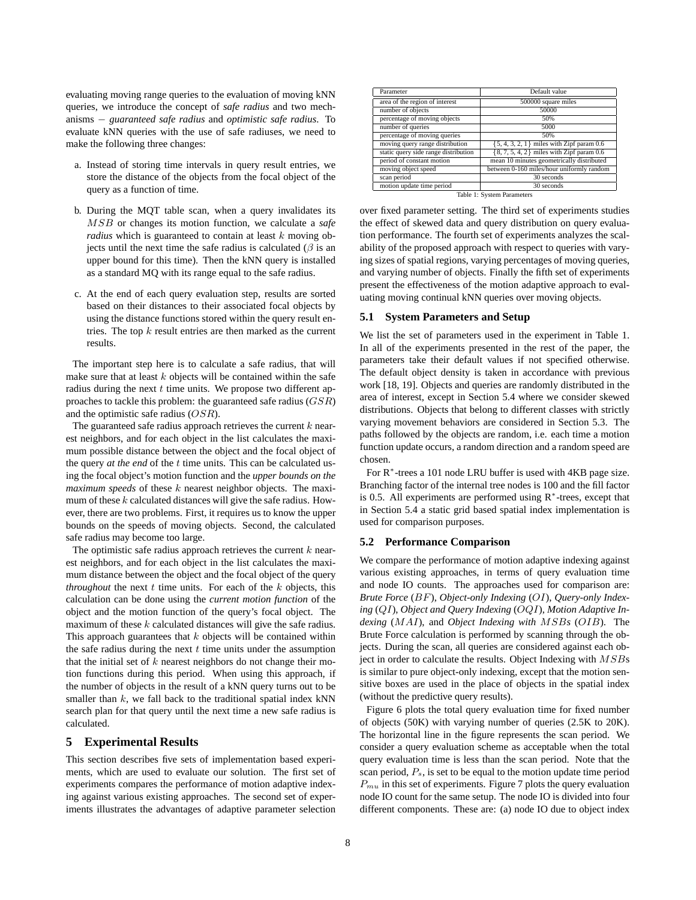evaluating moving range queries to the evaluation of moving kNN queries, we introduce the concept of *safe radius* and two mechanisms − *guaranteed safe radius* and *optimistic safe radius*. To evaluate kNN queries with the use of safe radiuses, we need to make the following three changes:

- a. Instead of storing time intervals in query result entries, we store the distance of the objects from the focal object of the query as a function of time.
- b. During the MQT table scan, when a query invalidates its MSB or changes its motion function, we calculate a *safe radius* which is guaranteed to contain at least k moving objects until the next time the safe radius is calculated ( $\beta$  is an upper bound for this time). Then the kNN query is installed as a standard MQ with its range equal to the safe radius.
- c. At the end of each query evaluation step, results are sorted based on their distances to their associated focal objects by using the distance functions stored within the query result entries. The top  $k$  result entries are then marked as the current results.

The important step here is to calculate a safe radius, that will make sure that at least  $k$  objects will be contained within the safe radius during the next  $t$  time units. We propose two different approaches to tackle this problem: the guaranteed safe radius  $(GSR)$ and the optimistic safe radius (OSR).

The guaranteed safe radius approach retrieves the current  $k$  nearest neighbors, and for each object in the list calculates the maximum possible distance between the object and the focal object of the query *at the end* of the t time units. This can be calculated using the focal object's motion function and the *upper bounds on the maximum speeds* of these k nearest neighbor objects. The maximum of these  $k$  calculated distances will give the safe radius. However, there are two problems. First, it requires us to know the upper bounds on the speeds of moving objects. Second, the calculated safe radius may become too large.

The optimistic safe radius approach retrieves the current  $k$  nearest neighbors, and for each object in the list calculates the maximum distance between the object and the focal object of the query *throughout* the next  $t$  time units. For each of the  $k$  objects, this calculation can be done using the *current motion function* of the object and the motion function of the query's focal object. The maximum of these  $k$  calculated distances will give the safe radius. This approach guarantees that  $k$  objects will be contained within the safe radius during the next  $t$  time units under the assumption that the initial set of  $k$  nearest neighbors do not change their motion functions during this period. When using this approach, if the number of objects in the result of a kNN query turns out to be smaller than  $k$ , we fall back to the traditional spatial index  $kNN$ search plan for that query until the next time a new safe radius is calculated.

### **5 Experimental Results**

This section describes five sets of implementation based experiments, which are used to evaluate our solution. The first set of experiments compares the performance of motion adaptive indexing against various existing approaches. The second set of experiments illustrates the advantages of adaptive parameter selection

| Parameter                            | Default value                                 |  |  |  |
|--------------------------------------|-----------------------------------------------|--|--|--|
| area of the region of interest       | 500000 square miles                           |  |  |  |
| number of objects                    | 50000                                         |  |  |  |
| percentage of moving objects         | 50%                                           |  |  |  |
| number of queries                    | 5000                                          |  |  |  |
| percentage of moving queries         | 50%                                           |  |  |  |
| moving query range distribution      | $\{5, 4, 3, 2, 1\}$ miles with Zipf param 0.6 |  |  |  |
| static query side range distribution | $\{8, 7, 5, 4, 2\}$ miles with Zipf param 0.6 |  |  |  |
| period of constant motion            | mean 10 minutes geometrically distributed     |  |  |  |
| moving object speed                  | between 0-160 miles/hour uniformly random     |  |  |  |
| scan period                          | 30 seconds                                    |  |  |  |
| motion update time period            | 30 seconds                                    |  |  |  |
| Table 1: Cyctam Daramatore           |                                               |  |  |  |

Table 1: System Parameters

over fixed parameter setting. The third set of experiments studies the effect of skewed data and query distribution on query evaluation performance. The fourth set of experiments analyzes the scalability of the proposed approach with respect to queries with varying sizes of spatial regions, varying percentages of moving queries, and varying number of objects. Finally the fifth set of experiments present the effectiveness of the motion adaptive approach to evaluating moving continual kNN queries over moving objects.

#### **5.1 System Parameters and Setup**

We list the set of parameters used in the experiment in Table 1. In all of the experiments presented in the rest of the paper, the parameters take their default values if not specified otherwise. The default object density is taken in accordance with previous work [18, 19]. Objects and queries are randomly distributed in the area of interest, except in Section 5.4 where we consider skewed distributions. Objects that belong to different classes with strictly varying movement behaviors are considered in Section 5.3. The paths followed by the objects are random, i.e. each time a motion function update occurs, a random direction and a random speed are chosen.

For R<sup>∗</sup>-trees a 101 node LRU buffer is used with 4KB page size. Branching factor of the internal tree nodes is 100 and the fill factor is 0.5. All experiments are performed using R<sup>∗</sup>-trees, except that in Section 5.4 a static grid based spatial index implementation is used for comparison purposes.

#### **5.2 Performance Comparison**

We compare the performance of motion adaptive indexing against various existing approaches, in terms of query evaluation time and node IO counts. The approaches used for comparison are: *Brute Force* (BF), *Object-only Indexing* (OI), *Query-only Indexing* (QI), *Object and Query Indexing* (OQI), *Motion Adaptive Indexing* (MAI), and *Object Indexing with* MSB*s* (OIB). The Brute Force calculation is performed by scanning through the objects. During the scan, all queries are considered against each object in order to calculate the results. Object Indexing with MSBs is similar to pure object-only indexing, except that the motion sensitive boxes are used in the place of objects in the spatial index (without the predictive query results).

Figure 6 plots the total query evaluation time for fixed number of objects (50K) with varying number of queries (2.5K to 20K). The horizontal line in the figure represents the scan period. We consider a query evaluation scheme as acceptable when the total query evaluation time is less than the scan period. Note that the scan period,  $P_s$ , is set to be equal to the motion update time period  $P_{mu}$  in this set of experiments. Figure 7 plots the query evaluation node IO count for the same setup. The node IO is divided into four different components. These are: (a) node IO due to object index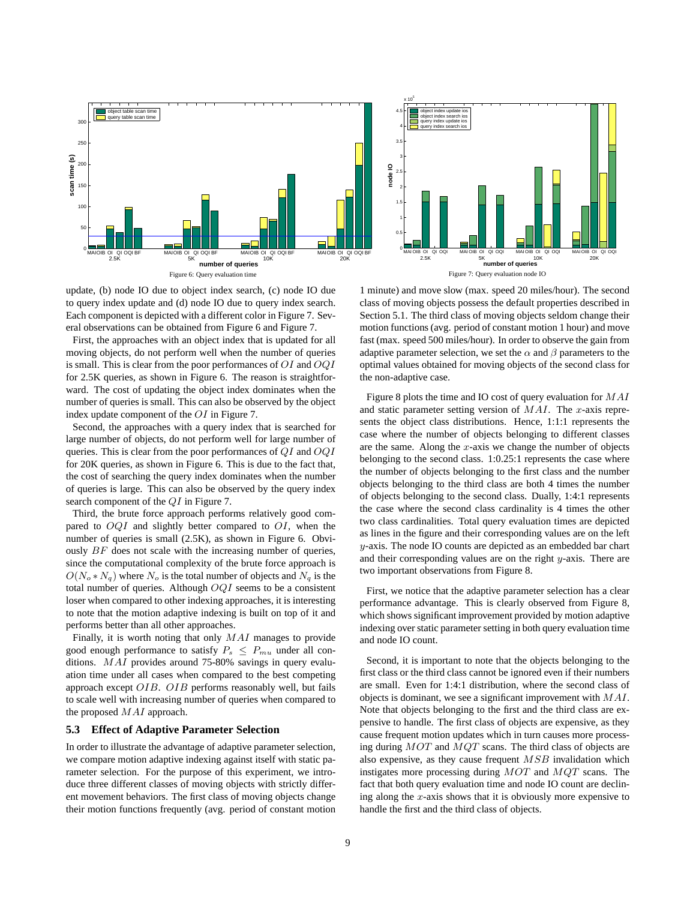



update, (b) node IO due to object index search, (c) node IO due to query index update and (d) node IO due to query index search. Each component is depicted with a different color in Figure 7. Several observations can be obtained from Figure 6 and Figure 7.

First, the approaches with an object index that is updated for all moving objects, do not perform well when the number of queries is small. This is clear from the poor performances of  $OI$  and  $OQI$ for 2.5K queries, as shown in Figure 6. The reason is straightforward. The cost of updating the object index dominates when the number of queries is small. This can also be observed by the object index update component of the OI in Figure 7.

Second, the approaches with a query index that is searched for large number of objects, do not perform well for large number of queries. This is clear from the poor performances of  $QI$  and  $OQI$ for 20K queries, as shown in Figure 6. This is due to the fact that, the cost of searching the query index dominates when the number of queries is large. This can also be observed by the query index search component of the QI in Figure 7.

Third, the brute force approach performs relatively good compared to  $OQI$  and slightly better compared to  $OI$ , when the number of queries is small (2.5K), as shown in Figure 6. Obviously  $BF$  does not scale with the increasing number of queries, since the computational complexity of the brute force approach is  $O(N_o*N_q)$  where  $N_o$  is the total number of objects and  $N_q$  is the total number of queries. Although  $OQI$  seems to be a consistent loser when compared to other indexing approaches, it is interesting to note that the motion adaptive indexing is built on top of it and performs better than all other approaches.

Finally, it is worth noting that only MAI manages to provide good enough performance to satisfy  $P_s \nleq P_{mu}$  under all conditions. MAI provides around 75-80% savings in query evaluation time under all cases when compared to the best competing approach except OIB. OIB performs reasonably well, but fails to scale well with increasing number of queries when compared to the proposed MAI approach.

# **5.3 Effect of Adaptive Parameter Selection**

In order to illustrate the advantage of adaptive parameter selection, we compare motion adaptive indexing against itself with static parameter selection. For the purpose of this experiment, we introduce three different classes of moving objects with strictly different movement behaviors. The first class of moving objects change their motion functions frequently (avg. period of constant motion

1 minute) and move slow (max. speed 20 miles/hour). The second class of moving objects possess the default properties described in Section 5.1. The third class of moving objects seldom change their motion functions (avg. period of constant motion 1 hour) and move fast (max. speed 500 miles/hour). In order to observe the gain from adaptive parameter selection, we set the  $\alpha$  and  $\beta$  parameters to the optimal values obtained for moving objects of the second class for the non-adaptive case.

Figure 8 plots the time and IO cost of query evaluation for MAI and static parameter setting version of  $MAI$ . The x-axis represents the object class distributions. Hence, 1:1:1 represents the case where the number of objects belonging to different classes are the same. Along the  $x$ -axis we change the number of objects belonging to the second class. 1:0.25:1 represents the case where the number of objects belonging to the first class and the number objects belonging to the third class are both 4 times the number of objects belonging to the second class. Dually, 1:4:1 represents the case where the second class cardinality is 4 times the other two class cardinalities. Total query evaluation times are depicted as lines in the figure and their corresponding values are on the left y-axis. The node IO counts are depicted as an embedded bar chart and their corresponding values are on the right  $y$ -axis. There are two important observations from Figure 8.

First, we notice that the adaptive parameter selection has a clear performance advantage. This is clearly observed from Figure 8, which shows significant improvement provided by motion adaptive indexing over static parameter setting in both query evaluation time and node IO count.

Second, it is important to note that the objects belonging to the first class or the third class cannot be ignored even if their numbers are small. Even for 1:4:1 distribution, where the second class of objects is dominant, we see a significant improvement with  $MAI$ . Note that objects belonging to the first and the third class are expensive to handle. The first class of objects are expensive, as they cause frequent motion updates which in turn causes more processing during MOT and MQT scans. The third class of objects are also expensive, as they cause frequent  $MSB$  invalidation which instigates more processing during MOT and MQT scans. The fact that both query evaluation time and node IO count are declining along the  $x$ -axis shows that it is obviously more expensive to handle the first and the third class of objects.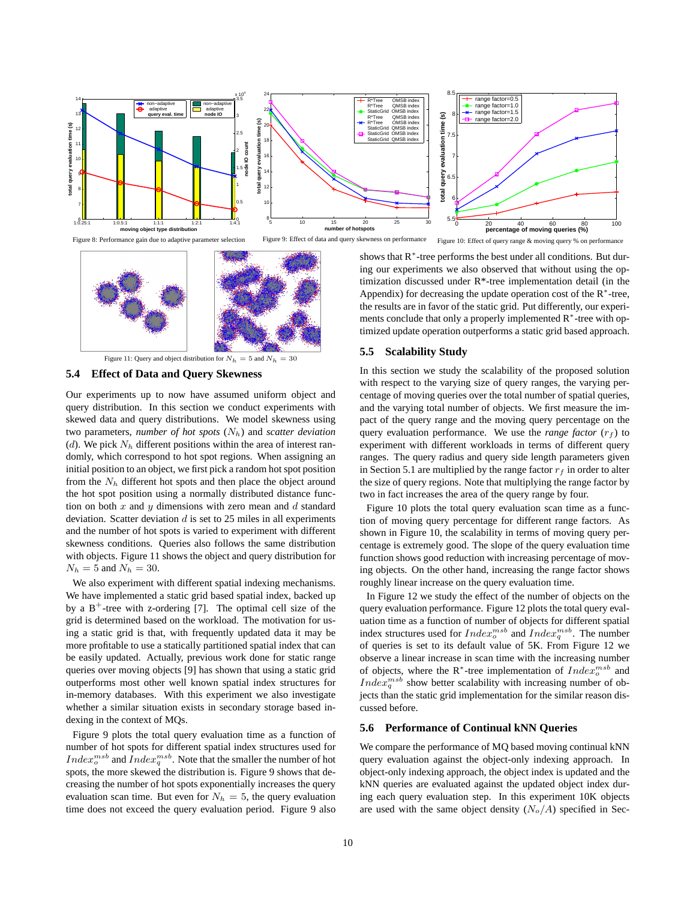



Figure 11: Query and object distribution for  $N_h = 5$  and  $N_h = 30$ 

### **5.4 Effect of Data and Query Skewness**

Our experiments up to now have assumed uniform object and query distribution. In this section we conduct experiments with skewed data and query distributions. We model skewness using two parameters, *number of hot spots*  $(N_h)$  and *scatter deviation* (d). We pick  $N<sub>h</sub>$  different positions within the area of interest randomly, which correspond to hot spot regions. When assigning an initial position to an object, we first pick a random hot spot position from the  $N_h$  different hot spots and then place the object around the hot spot position using a normally distributed distance function on both  $x$  and  $y$  dimensions with zero mean and  $d$  standard deviation. Scatter deviation  $d$  is set to 25 miles in all experiments and the number of hot spots is varied to experiment with different skewness conditions. Queries also follows the same distribution with objects. Figure 11 shows the object and query distribution for  $N_h = 5$  and  $N_h = 30$ .

We also experiment with different spatial indexing mechanisms. We have implemented a static grid based spatial index, backed up by a  $B^+$ -tree with z-ordering [7]. The optimal cell size of the grid is determined based on the workload. The motivation for using a static grid is that, with frequently updated data it may be more profitable to use a statically partitioned spatial index that can be easily updated. Actually, previous work done for static range queries over moving objects [9] has shown that using a static grid outperforms most other well known spatial index structures for in-memory databases. With this experiment we also investigate whether a similar situation exists in secondary storage based indexing in the context of MQs.

Figure 9 plots the total query evaluation time as a function of number of hot spots for different spatial index structures used for *Index*<sup>msb</sup> and *Index*<sup>msb</sup>. Note that the smaller the number of hot spots, the more skewed the distribution is. Figure 9 shows that decreasing the number of hot spots exponentially increases the query evaluation scan time. But even for  $N_h = 5$ , the query evaluation time does not exceed the query evaluation period. Figure 9 also

shows that R<sup>\*</sup>-tree performs the best under all conditions. But during our experiments we also observed that without using the optimization discussed under R\*-tree implementation detail (in the Appendix) for decreasing the update operation cost of the  $R^*$ -tree, the results are in favor of the static grid. Put differently, our experiments conclude that only a properly implemented R<sup>∗</sup>-tree with optimized update operation outperforms a static grid based approach.

#### **5.5 Scalability Study**

In this section we study the scalability of the proposed solution with respect to the varying size of query ranges, the varying percentage of moving queries over the total number of spatial queries, and the varying total number of objects. We first measure the impact of the query range and the moving query percentage on the query evaluation performance. We use the *range factor*  $(r_f)$  to experiment with different workloads in terms of different query ranges. The query radius and query side length parameters given in Section 5.1 are multiplied by the range factor  $r_f$  in order to alter the size of query regions. Note that multiplying the range factor by two in fact increases the area of the query range by four.

Figure 10 plots the total query evaluation scan time as a function of moving query percentage for different range factors. As shown in Figure 10, the scalability in terms of moving query percentage is extremely good. The slope of the query evaluation time function shows good reduction with increasing percentage of moving objects. On the other hand, increasing the range factor shows roughly linear increase on the query evaluation time.

In Figure 12 we study the effect of the number of objects on the query evaluation performance. Figure 12 plots the total query evaluation time as a function of number of objects for different spatial index structures used for  $Index_0^{msb}$  and  $Index_q^{msb}$ . The number of queries is set to its default value of 5K. From Figure 12 we observe a linear increase in scan time with the increasing number of objects, where the R<sup>∗</sup>-tree implementation of  $Index<sub>o</sub><sup>msb</sup>$  and *Index*<sup>msb</sup> show better scalability with increasing number of objects than the static grid implementation for the similar reason discussed before.

#### **5.6 Performance of Continual kNN Queries**

We compare the performance of MQ based moving continual kNN query evaluation against the object-only indexing approach. In object-only indexing approach, the object index is updated and the kNN queries are evaluated against the updated object index during each query evaluation step. In this experiment 10K objects are used with the same object density  $(N_o/A)$  specified in Sec-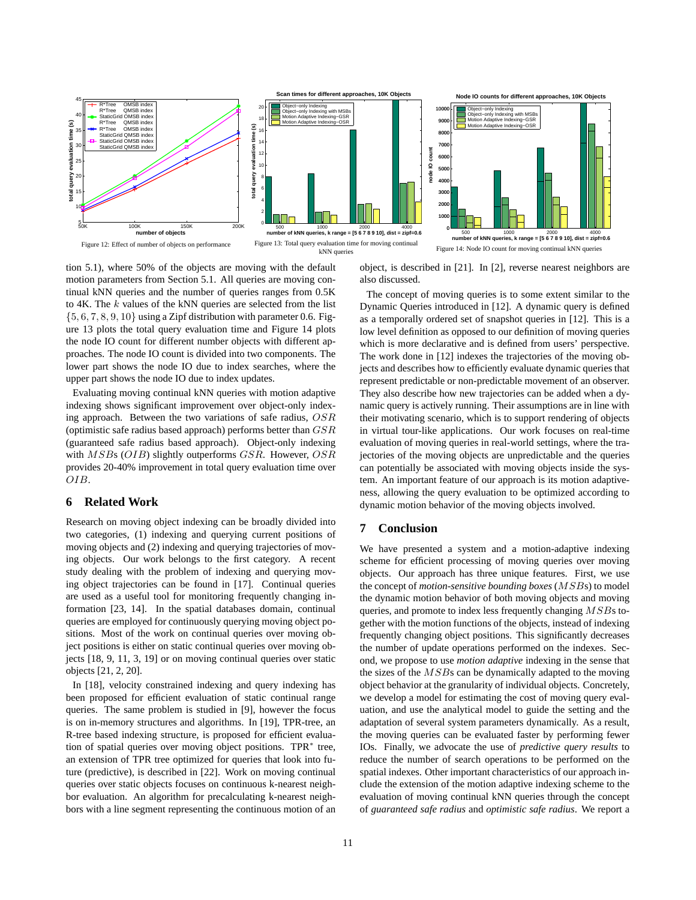



tion 5.1), where 50% of the objects are moving with the default motion parameters from Section 5.1. All queries are moving continual kNN queries and the number of queries ranges from 0.5K to  $4K$ . The  $k$  values of the kNN queries are selected from the list  $\{5, 6, 7, 8, 9, 10\}$  using a Zipf distribution with parameter 0.6. Figure 13 plots the total query evaluation time and Figure 14 plots the node IO count for different number objects with different approaches. The node IO count is divided into two components. The lower part shows the node IO due to index searches, where the upper part shows the node IO due to index updates.

Evaluating moving continual kNN queries with motion adaptive indexing shows significant improvement over object-only indexing approach. Between the two variations of safe radius, OSR (optimistic safe radius based approach) performs better than GSR (guaranteed safe radius based approach). Object-only indexing with  $MSBs$  (OIB) slightly outperforms GSR. However, OSR provides 20-40% improvement in total query evaluation time over OIB.

# **6 Related Work**

Research on moving object indexing can be broadly divided into two categories, (1) indexing and querying current positions of moving objects and (2) indexing and querying trajectories of moving objects. Our work belongs to the first category. A recent study dealing with the problem of indexing and querying moving object trajectories can be found in [17]. Continual queries are used as a useful tool for monitoring frequently changing information [23, 14]. In the spatial databases domain, continual queries are employed for continuously querying moving object positions. Most of the work on continual queries over moving object positions is either on static continual queries over moving objects [18, 9, 11, 3, 19] or on moving continual queries over static objects [21, 2, 20].

In [18], velocity constrained indexing and query indexing has been proposed for efficient evaluation of static continual range queries. The same problem is studied in [9], however the focus is on in-memory structures and algorithms. In [19], TPR-tree, an R-tree based indexing structure, is proposed for efficient evaluation of spatial queries over moving object positions. TPR<sup>∗</sup> tree, an extension of TPR tree optimized for queries that look into future (predictive), is described in [22]. Work on moving continual queries over static objects focuses on continuous k-nearest neighbor evaluation. An algorithm for precalculating k-nearest neighbors with a line segment representing the continuous motion of an object, is described in [21]. In [2], reverse nearest neighbors are also discussed.

The concept of moving queries is to some extent similar to the Dynamic Queries introduced in [12]. A dynamic query is defined as a temporally ordered set of snapshot queries in [12]. This is a low level definition as opposed to our definition of moving queries which is more declarative and is defined from users' perspective. The work done in [12] indexes the trajectories of the moving objects and describes how to efficiently evaluate dynamic queries that represent predictable or non-predictable movement of an observer. They also describe how new trajectories can be added when a dynamic query is actively running. Their assumptions are in line with their motivating scenario, which is to support rendering of objects in virtual tour-like applications. Our work focuses on real-time evaluation of moving queries in real-world settings, where the trajectories of the moving objects are unpredictable and the queries can potentially be associated with moving objects inside the system. An important feature of our approach is its motion adaptiveness, allowing the query evaluation to be optimized according to dynamic motion behavior of the moving objects involved.

# **7 Conclusion**

We have presented a system and a motion-adaptive indexing scheme for efficient processing of moving queries over moving objects. Our approach has three unique features. First, we use the concept of *motion-sensitive bounding boxes* (MSBs) to model the dynamic motion behavior of both moving objects and moving queries, and promote to index less frequently changing MSBs together with the motion functions of the objects, instead of indexing frequently changing object positions. This significantly decreases the number of update operations performed on the indexes. Second, we propose to use *motion adaptive* indexing in the sense that the sizes of the  $MSBs$  can be dynamically adapted to the moving object behavior at the granularity of individual objects. Concretely, we develop a model for estimating the cost of moving query evaluation, and use the analytical model to guide the setting and the adaptation of several system parameters dynamically. As a result, the moving queries can be evaluated faster by performing fewer IOs. Finally, we advocate the use of *predictive query results* to reduce the number of search operations to be performed on the spatial indexes. Other important characteristics of our approach include the extension of the motion adaptive indexing scheme to the evaluation of moving continual kNN queries through the concept of *guaranteed safe radius* and *optimistic safe radius*. We report a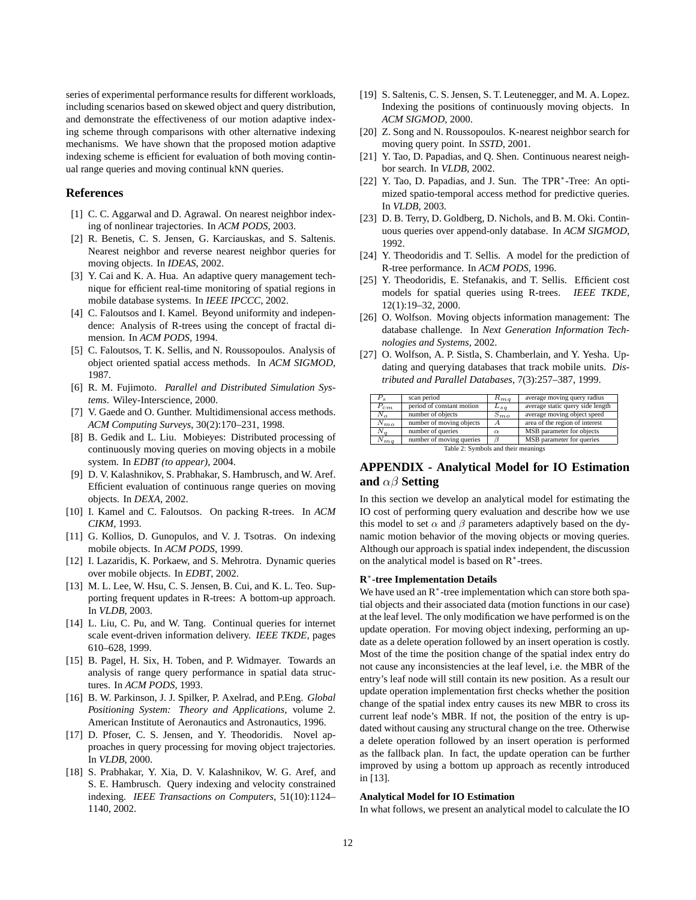series of experimental performance results for different workloads, including scenarios based on skewed object and query distribution, and demonstrate the effectiveness of our motion adaptive indexing scheme through comparisons with other alternative indexing mechanisms. We have shown that the proposed motion adaptive indexing scheme is efficient for evaluation of both moving continual range queries and moving continual kNN queries.

# **References**

- [1] C. C. Aggarwal and D. Agrawal. On nearest neighbor indexing of nonlinear trajectories. In *ACM PODS*, 2003.
- [2] R. Benetis, C. S. Jensen, G. Karciauskas, and S. Saltenis. Nearest neighbor and reverse nearest neighbor queries for moving objects. In *IDEAS*, 2002.
- [3] Y. Cai and K. A. Hua. An adaptive query management technique for efficient real-time monitoring of spatial regions in mobile database systems. In *IEEE IPCCC*, 2002.
- [4] C. Faloutsos and I. Kamel. Beyond uniformity and independence: Analysis of R-trees using the concept of fractal dimension. In *ACM PODS*, 1994.
- [5] C. Faloutsos, T. K. Sellis, and N. Roussopoulos. Analysis of object oriented spatial access methods. In *ACM SIGMOD*, 1987.
- [6] R. M. Fujimoto. *Parallel and Distributed Simulation Systems*. Wiley-Interscience, 2000.
- [7] V. Gaede and O. Gunther. Multidimensional access methods. *ACM Computing Surveys*, 30(2):170–231, 1998.
- [8] B. Gedik and L. Liu. Mobieyes: Distributed processing of continuously moving queries on moving objects in a mobile system. In *EDBT (to appear)*, 2004.
- [9] D. V. Kalashnikov, S. Prabhakar, S. Hambrusch, and W. Aref. Efficient evaluation of continuous range queries on moving objects. In *DEXA*, 2002.
- [10] I. Kamel and C. Faloutsos. On packing R-trees. In *ACM CIKM*, 1993.
- [11] G. Kollios, D. Gunopulos, and V. J. Tsotras. On indexing mobile objects. In *ACM PODS*, 1999.
- [12] I. Lazaridis, K. Porkaew, and S. Mehrotra. Dynamic queries over mobile objects. In *EDBT*, 2002.
- [13] M. L. Lee, W. Hsu, C. S. Jensen, B. Cui, and K. L. Teo. Supporting frequent updates in R-trees: A bottom-up approach. In *VLDB*, 2003.
- [14] L. Liu, C. Pu, and W. Tang. Continual queries for internet scale event-driven information delivery. *IEEE TKDE*, pages 610–628, 1999.
- [15] B. Pagel, H. Six, H. Toben, and P. Widmayer. Towards an analysis of range query performance in spatial data structures. In *ACM PODS*, 1993.
- [16] B. W. Parkinson, J. J. Spilker, P. Axelrad, and P.Eng. *Global Positioning System: Theory and Applications*, volume 2. American Institute of Aeronautics and Astronautics, 1996.
- [17] D. Pfoser, C. S. Jensen, and Y. Theodoridis. Novel approaches in query processing for moving object trajectories. In *VLDB*, 2000.
- [18] S. Prabhakar, Y. Xia, D. V. Kalashnikov, W. G. Aref, and S. E. Hambrusch. Query indexing and velocity constrained indexing. *IEEE Transactions on Computers*, 51(10):1124– 1140, 2002.
- [19] S. Saltenis, C. S. Jensen, S. T. Leutenegger, and M. A. Lopez. Indexing the positions of continuously moving objects. In *ACM SIGMOD*, 2000.
- [20] Z. Song and N. Roussopoulos. K-nearest neighbor search for moving query point. In *SSTD*, 2001.
- [21] Y. Tao, D. Papadias, and Q. Shen. Continuous nearest neighbor search. In *VLDB*, 2002.
- [22] Y. Tao, D. Papadias, and J. Sun. The TPR<sup>\*</sup>-Tree: An optimized spatio-temporal access method for predictive queries. In *VLDB*, 2003.
- [23] D. B. Terry, D. Goldberg, D. Nichols, and B. M. Oki. Continuous queries over append-only database. In *ACM SIGMOD*, 1992.
- [24] Y. Theodoridis and T. Sellis. A model for the prediction of R-tree performance. In *ACM PODS*, 1996.
- [25] Y. Theodoridis, E. Stefanakis, and T. Sellis. Efficient cost models for spatial queries using R-trees. *IEEE TKDE*, 12(1):19–32, 2000.
- [26] O. Wolfson. Moving objects information management: The database challenge. In *Next Generation Information Technologies and Systems*, 2002.
- [27] O. Wolfson, A. P. Sistla, S. Chamberlain, and Y. Yesha. Updating and querying databases that track mobile units. *Distributed and Parallel Databases*, 7(3):257–387, 1999.

| $P_s$                               | scan period               | $R_{ma}$  | average moving query radius      |  |
|-------------------------------------|---------------------------|-----------|----------------------------------|--|
| $P_{cm}$                            | period of constant motion | $L_{sg}$  | average static query side length |  |
| $N_{\alpha}$                        | number of objects         | $S_{m,o}$ | average moving object speed      |  |
| $N_{mo}$                            | number of moving objects  | A         | area of the region of interest   |  |
|                                     | number of queries         | $\alpha$  | MSB parameter for objects        |  |
| $N_{ma}$                            | number of moving queries  |           | MSB parameter for queries        |  |
| Table 2: Symbols and their meanings |                           |           |                                  |  |

# **APPENDIX - Analytical Model for IO Estimation and** αβ **Setting**

In this section we develop an analytical model for estimating the IO cost of performing query evaluation and describe how we use this model to set  $\alpha$  and  $\beta$  parameters adaptively based on the dynamic motion behavior of the moving objects or moving queries. Although our approach is spatial index independent, the discussion on the analytical model is based on R<sup>∗</sup>-trees.

#### **R**<sup>∗</sup>**-tree Implementation Details**

We have used an R<sup>∗</sup>-tree implementation which can store both spatial objects and their associated data (motion functions in our case) at the leaf level. The only modification we have performed is on the update operation. For moving object indexing, performing an update as a delete operation followed by an insert operation is costly. Most of the time the position change of the spatial index entry do not cause any inconsistencies at the leaf level, i.e. the MBR of the entry's leaf node will still contain its new position. As a result our update operation implementation first checks whether the position change of the spatial index entry causes its new MBR to cross its current leaf node's MBR. If not, the position of the entry is updated without causing any structural change on the tree. Otherwise a delete operation followed by an insert operation is performed as the fallback plan. In fact, the update operation can be further improved by using a bottom up approach as recently introduced in [13].

#### **Analytical Model for IO Estimation**

In what follows, we present an analytical model to calculate the IO